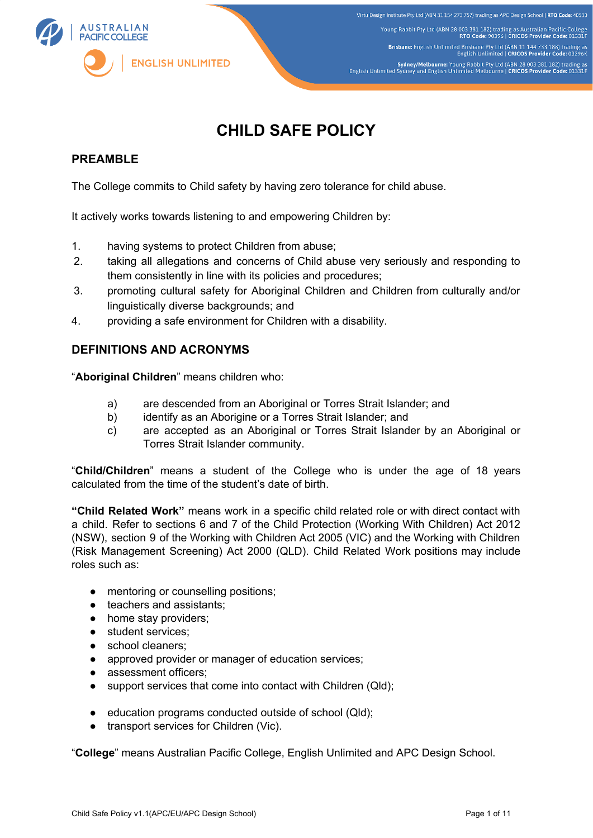

# **CHILD SAFE POLICY**

# **PREAMBLE**

The College commits to Child safety by having zero tolerance for child abuse.

It actively works towards listening to and empowering Children by:

- 1. having systems to protect Children from abuse;
- 2. taking all allegations and concerns of Child abuse very seriously and responding to them consistently in line with its policies and procedures;
- 3. promoting cultural safety for Aboriginal Children and Children from culturally and/or linguistically diverse backgrounds; and
- 4. providing a safe environment for Children with a disability.

## **DEFINITIONS AND ACRONYMS**

"**Aboriginal Children**" means children who:

- a) are descended from an Aboriginal or Torres Strait Islander; and
- b) identify as an Aborigine or a Torres Strait Islander; and
- c) are accepted as an Aboriginal or Torres Strait Islander by an Aboriginal or Torres Strait Islander community.

"**Child/Children**" means a student of the College who is under the age of 18 years calculated from the time of the student's date of birth.

**"Child Related Work"** means work in a specific child related role or with direct contact with a child. Refer to sections 6 and 7 of the Child Protection (Working With Children) Act 2012 (NSW), section 9 of the Working with Children Act 2005 (VIC) and the Working with Children (Risk Management Screening) Act 2000 (QLD). Child Related Work positions may include roles such as:

- mentoring or counselling positions;
- teachers and assistants;
- home stay providers;
- student services;
- school cleaners;
- approved provider or manager of education services;
- assessment officers;
- support services that come into contact with Children (Qld);
- education programs conducted outside of school (Qld);
- transport services for Children (Vic).

"**College**" means Australian Pacific College, English Unlimited and APC Design School.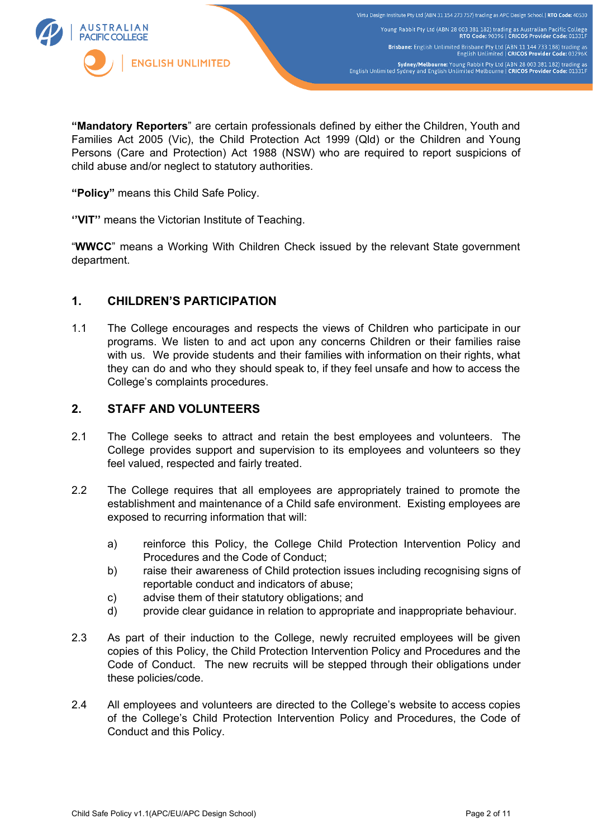

**"Mandatory Reporters**" are certain professionals defined by either the Children, Youth and Families Act 2005 (Vic), the Child Protection Act 1999 (Qld) or the Children and Young Persons (Care and Protection) Act 1988 (NSW) who are required to report suspicions of child abuse and/or neglect to statutory authorities.

**"Policy"** means this Child Safe Policy.

**''VIT''** means the Victorian Institute of Teaching.

"**WWCC**" means a Working With Children Check issued by the relevant State government department.

## **1. CHILDREN'S PARTICIPATION**

1.1 The College encourages and respects the views of Children who participate in our programs. We listen to and act upon any concerns Children or their families raise with us. We provide students and their families with information on their rights, what they can do and who they should speak to, if they feel unsafe and how to access the College's complaints procedures.

## **2. STAFF AND VOLUNTEERS**

- 2.1 The College seeks to attract and retain the best employees and volunteers. The College provides support and supervision to its employees and volunteers so they feel valued, respected and fairly treated.
- 2.2 The College requires that all employees are appropriately trained to promote the establishment and maintenance of a Child safe environment. Existing employees are exposed to recurring information that will:
	- a) reinforce this Policy, the College Child Protection Intervention Policy and Procedures and the Code of Conduct;
	- b) raise their awareness of Child protection issues including recognising signs of reportable conduct and indicators of abuse;
	- c) advise them of their statutory obligations; and
	- d) provide clear guidance in relation to appropriate and inappropriate behaviour.
- 2.3 As part of their induction to the College, newly recruited employees will be given copies of this Policy, the Child Protection Intervention Policy and Procedures and the Code of Conduct. The new recruits will be stepped through their obligations under these policies/code.
- 2.4 All employees and volunteers are directed to the College's website to access copies of the College's Child Protection Intervention Policy and Procedures, the Code of Conduct and this Policy.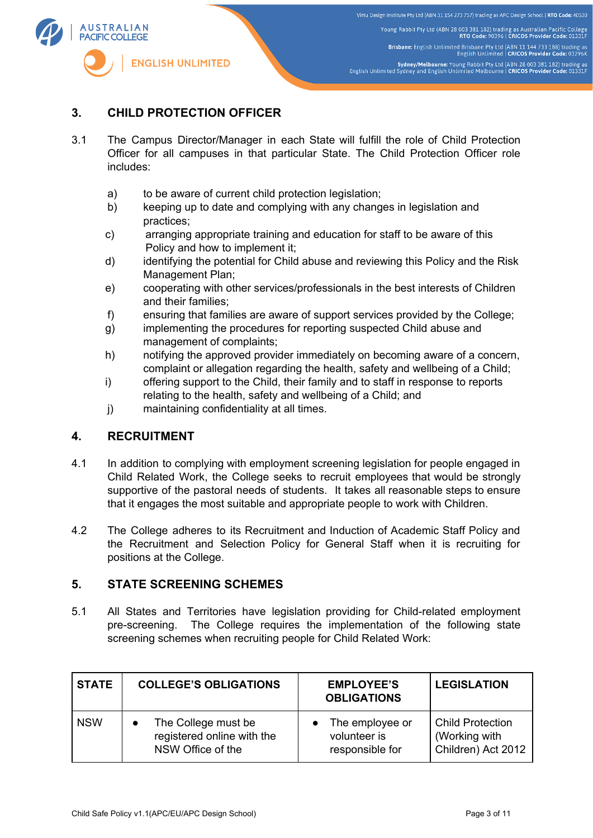

## **3. CHILD PROTECTION OFFICER**

- 3.1 The Campus Director/Manager in each State will fulfill the role of Child Protection Officer for all campuses in that particular State. The Child Protection Officer role includes:
	- a) to be aware of current child protection legislation;
	- b) keeping up to date and complying with any changes in legislation and practices;
	- c) arranging appropriate training and education for staff to be aware of this Policy and how to implement it;
	- d) identifying the potential for Child abuse and reviewing this Policy and the Risk Management Plan;
	- e) cooperating with other services/professionals in the best interests of Children and their families;
	- f) ensuring that families are aware of support services provided by the College;
	- g) implementing the procedures for reporting suspected Child abuse and management of complaints;
	- h) notifying the approved provider immediately on becoming aware of a concern, complaint or allegation regarding the health, safety and wellbeing of a Child;
	- i) offering support to the Child, their family and to staff in response to reports relating to the health, safety and wellbeing of a Child; and
	- j) maintaining confidentiality at all times.

### **4. RECRUITMENT**

- 4.1 In addition to complying with employment screening legislation for people engaged in Child Related Work, the College seeks to recruit employees that would be strongly supportive of the pastoral needs of students. It takes all reasonable steps to ensure that it engages the most suitable and appropriate people to work with Children.
- 4.2 The College adheres to its Recruitment and Induction of Academic Staff Policy and the Recruitment and Selection Policy for General Staff when it is recruiting for positions at the College.

#### **5. STATE SCREENING SCHEMES**

5.1 All States and Territories have legislation providing for Child-related employment pre-screening. The College requires the implementation of the following state screening schemes when recruiting people for Child Related Work:

| <b>STATE</b> | <b>COLLEGE'S OBLIGATIONS</b> | <b>EMPLOYEE'S</b><br><b>OBLIGATIONS</b> | <b>LEGISLATION</b>      |
|--------------|------------------------------|-----------------------------------------|-------------------------|
| <b>NSW</b>   | The College must be          | The employee or                         | <b>Child Protection</b> |
|              | registered online with the   | volunteer is                            | (Working with           |
|              | NSW Office of the            | responsible for                         | Children) Act 2012      |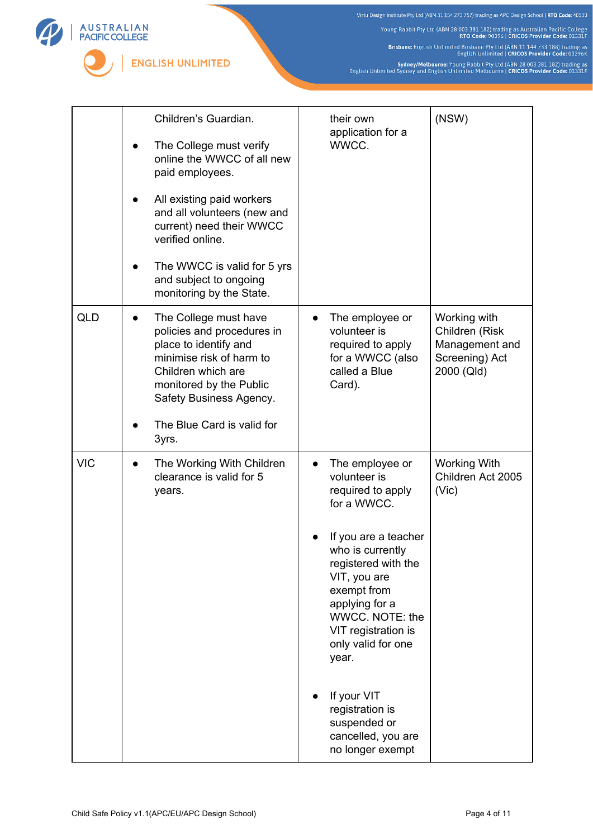Young Rabbit Pty Ltd (ABN 28 003 381 182) trading as Australian Pacific College<br>RTO Code: 90396 | CRICOS Provider Code: 01331F

Brisbane: English Unlimited Brisbane Pty Ltd (ABN 11 144 733 188) trading as<br>English Unlimited | CRICOS Provider Code: 03296K

Sydney/Melbourne: Young Rabbit Pty Ltd (ABN 28 003 381 182) trading as<br>English Unlimited Sydney and English Unlimited Melbourne | CRICOS Provider Code: 01331F

|            | Children's Guardian.<br>The College must verify<br>online the WWCC of all new<br>paid employees.<br>All existing paid workers<br>and all volunteers (new and<br>current) need their WWCC<br>verified online.<br>The WWCC is valid for 5 yrs<br>and subject to ongoing<br>monitoring by the State. | their own<br>application for a<br>WWCC.                                                                                                                                                                                                                                                                                                               | (NSW)                                                                            |
|------------|---------------------------------------------------------------------------------------------------------------------------------------------------------------------------------------------------------------------------------------------------------------------------------------------------|-------------------------------------------------------------------------------------------------------------------------------------------------------------------------------------------------------------------------------------------------------------------------------------------------------------------------------------------------------|----------------------------------------------------------------------------------|
| <b>QLD</b> | The College must have<br>policies and procedures in<br>place to identify and<br>minimise risk of harm to<br>Children which are<br>monitored by the Public<br>Safety Business Agency.<br>The Blue Card is valid for                                                                                | The employee or<br>volunteer is<br>required to apply<br>for a WWCC (also<br>called a Blue<br>Card).                                                                                                                                                                                                                                                   | Working with<br>Children (Risk<br>Management and<br>Screening) Act<br>2000 (Qld) |
|            | 3yrs.                                                                                                                                                                                                                                                                                             |                                                                                                                                                                                                                                                                                                                                                       |                                                                                  |
| <b>VIC</b> | The Working With Children<br>$\bullet$<br>clearance is valid for 5<br>years.                                                                                                                                                                                                                      | The employee or<br>$\bullet$<br>volunteer is<br>required to apply<br>for a WWCC.<br>If you are a teacher<br>who is currently<br>registered with the<br>VIT, you are<br>exempt from<br>applying for a<br>WWCC. NOTE: the<br>VIT registration is<br>only valid for one<br>year.<br>If your VIT<br>registration is<br>suspended or<br>cancelled, you are | <b>Working With</b><br>Children Act 2005<br>(V <sub>i</sub> )                    |

A U S T R A L I A N<br>PACIFIC COLLEGE

**ENGLISH UNLIMITED**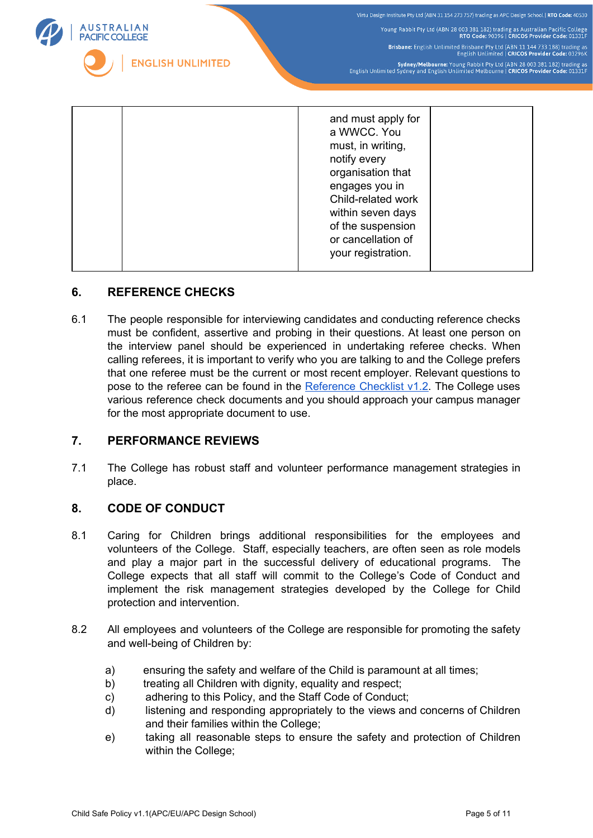

## **6. REFERENCE CHECKS**

6.1 The people responsible for interviewing candidates and conducting reference checks must be confident, assertive and probing in their questions. At least one person on the interview panel should be experienced in undertaking referee checks. When calling referees, it is important to verify who you are talking to and the College prefers that one referee must be the current or most recent employer. Relevant questions to pose to the referee can be found in the  $Reference$  Checklist  $v1.2$ . The College uses various reference check documents and you should approach your campus manager for the most appropriate document to use.

### **7. PERFORMANCE REVIEWS**

7.1 The College has robust staff and volunteer performance management strategies in place.

#### **8. CODE OF CONDUCT**

- 8.1 Caring for Children brings additional responsibilities for the employees and volunteers of the College. Staff, especially teachers, are often seen as role models and play a major part in the successful delivery of educational programs. The College expects that all staff will commit to the College's Code of Conduct and implement the risk management strategies developed by the College for Child protection and intervention.
- 8.2 All employees and volunteers of the College are responsible for promoting the safety and well-being of Children by:
	- a) ensuring the safety and welfare of the Child is paramount at all times;
	- b) treating all Children with dignity, equality and respect;
	- c) adhering to this Policy, and the Staff Code of Conduct;
	- d) listening and responding appropriately to the views and concerns of Children and their families within the College;
	- e) taking all reasonable steps to ensure the safety and protection of Children within the College;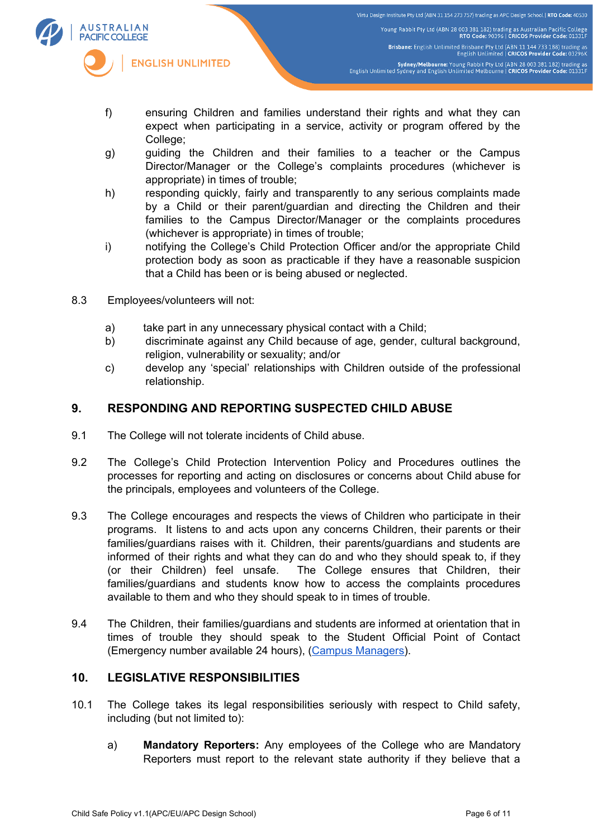

Virtu Design Institute Pty Ltd (ABN 31 154 273 757) trading as APC Design School | RTO Code: 40530 Young Rabbit Pty Ltd (ABN 28 003 381 182) trading as Australian Pacific College<br>RTO Code: 90396 | CRICOS Provider Code: 01331F Brisbane: English Unlimited Brisbane Pty Ltd (ABN 11 144 733 188) trading as<br>English Unlimited | CRICOS Provider Code: 03296K Sydney/Melbourne: Young Rabbit Pty Ltd (ABN 28 003 381 182) trading as<br>English Unlimited Sydney and English Unlimited Melbourne | CRICOS Provider Code: 01331F

- f) ensuring Children and families understand their rights and what they can expect when participating in a service, activity or program offered by the College;
- g) guiding the Children and their families to a teacher or the Campus Director/Manager or the College's complaints procedures (whichever is appropriate) in times of trouble;
- h) responding quickly, fairly and transparently to any serious complaints made by a Child or their parent/guardian and directing the Children and their families to the Campus Director/Manager or the complaints procedures (whichever is appropriate) in times of trouble;
- i) notifying the College's Child Protection Officer and/or the appropriate Child protection body as soon as practicable if they have a reasonable suspicion that a Child has been or is being abused or neglected.
- 8.3 Employees/volunteers will not:
	- a) take part in any unnecessary physical contact with a Child;
	- b) discriminate against any Child because of age, gender, cultural background, religion, vulnerability or sexuality; and/or
	- c) develop any 'special' relationships with Children outside of the professional relationship.

## **9. RESPONDING AND REPORTING SUSPECTED CHILD ABUSE**

- 9.1 The College will not tolerate incidents of Child abuse.
- 9.2 The College's Child Protection Intervention Policy and Procedures outlines the processes for reporting and acting on disclosures or concerns about Child abuse for the principals, employees and volunteers of the College.
- 9.3 The College encourages and respects the views of Children who participate in their programs. It listens to and acts upon any concerns Children, their parents or their families/guardians raises with it. Children, their parents/guardians and students are informed of their rights and what they can do and who they should speak to, if they (or their Children) feel unsafe. The College ensures that Children, their families/guardians and students know how to access the complaints procedures available to them and who they should speak to in times of trouble.
- 9.4 The Children, their families/guardians and students are informed at orientation that in times of trouble they should speak to the Student Official Point of Contact (Emergency number available 24 hours), (Campus Managers).

## **10. LEGISLATIVE RESPONSIBILITIES**

- 10.1 The College takes its legal responsibilities seriously with respect to Child safety, including (but not limited to):
	- a) **Mandatory Reporters:** Any employees of the College who are Mandatory Reporters must report to the relevant state authority if they believe that a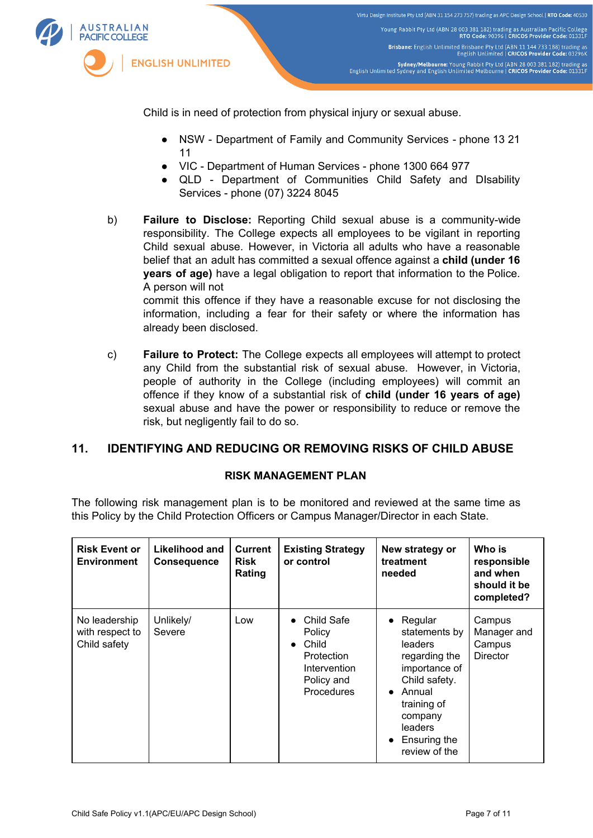

Child is in need of protection from physical injury or sexual abuse.

- NSW Department of Family and Community Services phone 13 21 11
- VIC Department of Human Services phone 1300 664 977
- QLD Department of Communities Child Safety and DIsability Services - phone (07) 3224 8045

b) **Failure to Disclose:** Reporting Child sexual abuse is a community-wide responsibility. The College expects all employees to be vigilant in reporting Child sexual abuse. However, in Victoria all adults who have a reasonable belief that an adult has committed a sexual offence against a **child (under 16 years of age)** have a legal obligation to report that information to the Police. A person will not commit this offence if they have a reasonable excuse for not disclosing the information, including a fear for their safety or where the information has already been disclosed.

c) **Failure to Protect:** The College expects all employees will attempt to protect any Child from the substantial risk of sexual abuse. However, in Victoria, people of authority in the College (including employees) will commit an offence if they know of a substantial risk of **child (under 16 years of age)** sexual abuse and have the power or responsibility to reduce or remove the risk, but negligently fail to do so.

## **11. IDENTIFYING AND REDUCING OR REMOVING RISKS OF CHILD ABUSE**

#### **RISK MANAGEMENT PLAN**

The following risk management plan is to be monitored and reviewed at the same time as this Policy by the Child Protection Officers or Campus Manager/Director in each State.

| <b>Risk Event or</b><br><b>Environment</b>       | Likelihood and<br><b>Consequence</b> | <b>Current</b><br><b>Risk</b><br>Rating | <b>Existing Strategy</b><br>or control                                                               | New strategy or<br>treatment<br>needed                                                                                                                                                                        | Who is<br>responsible<br>and when<br>should it be<br>completed? |
|--------------------------------------------------|--------------------------------------|-----------------------------------------|------------------------------------------------------------------------------------------------------|---------------------------------------------------------------------------------------------------------------------------------------------------------------------------------------------------------------|-----------------------------------------------------------------|
| No leadership<br>with respect to<br>Child safety | Unlikely/<br>Severe                  | Low                                     | Child Safe<br>Policy<br>Child<br>$\bullet$<br>Protection<br>Intervention<br>Policy and<br>Procedures | Regular<br>$\bullet$<br>statements by<br>leaders<br>regarding the<br>importance of<br>Child safety.<br>Annual<br>$\bullet$<br>training of<br>company<br>leaders<br>Ensuring the<br>$\bullet$<br>review of the | Campus<br>Manager and<br>Campus<br><b>Director</b>              |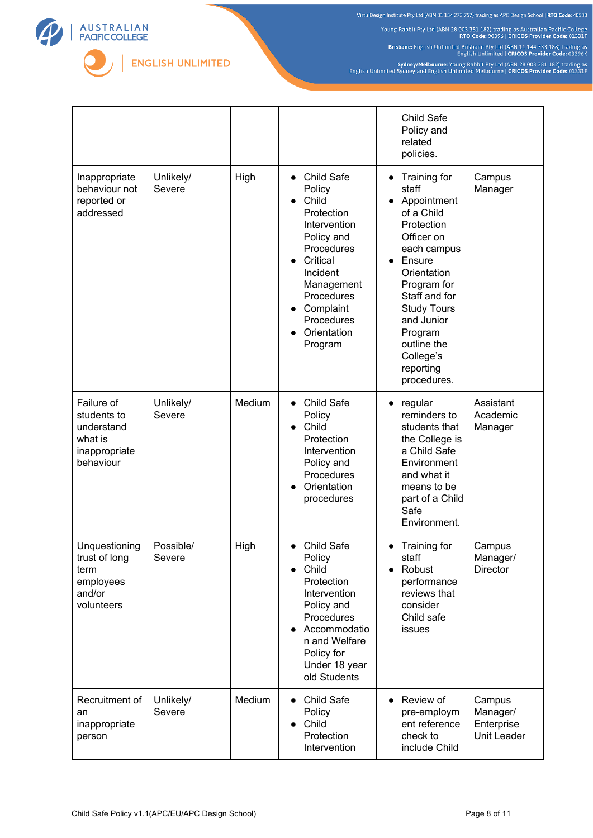

Young Rabbit Pty Ltd (ABN 28 003 381 182) trading as Australian Pacific College<br>RTO Code: 90396 | CRICOS Provider Code: 91331F

Brisbane: English Unlimited Brisbane Pty Ltd (ABN 11 144 733 188) trading as<br>English Unlimited | CRICOS Provider Code: 03296K

Sydney/Melbourne: Young Rabbit Pty Ltd (ABN 28 003 381 182) trading as<br>English Unlimited Sydney and English Unlimited Melbourne | CRICOS Provider Code: 01331F

|                                                                                  |                     |        |                                                                                                                                                                                                                            | Child Safe<br>Policy and<br>related<br>policies.                                                                                                                                                                                                              |                                                 |
|----------------------------------------------------------------------------------|---------------------|--------|----------------------------------------------------------------------------------------------------------------------------------------------------------------------------------------------------------------------------|---------------------------------------------------------------------------------------------------------------------------------------------------------------------------------------------------------------------------------------------------------------|-------------------------------------------------|
| Inappropriate<br>behaviour not<br>reported or<br>addressed                       | Unlikely/<br>Severe | High   | Child Safe<br>$\bullet$<br>Policy<br>Child<br>$\bullet$<br>Protection<br>Intervention<br>Policy and<br>Procedures<br>Critical<br>Incident<br>Management<br>Procedures<br>Complaint<br>Procedures<br>Orientation<br>Program | Training for<br>staff<br>Appointment<br>of a Child<br>Protection<br>Officer on<br>each campus<br>Ensure<br>Orientation<br>Program for<br>Staff and for<br><b>Study Tours</b><br>and Junior<br>Program<br>outline the<br>College's<br>reporting<br>procedures. | Campus<br>Manager                               |
| Failure of<br>students to<br>understand<br>what is<br>inappropriate<br>behaviour | Unlikely/<br>Severe | Medium | Child Safe<br>$\bullet$<br>Policy<br>Child<br>$\bullet$<br>Protection<br>Intervention<br>Policy and<br>Procedures<br>Orientation<br>procedures                                                                             | regular<br>$\bullet$<br>reminders to<br>students that<br>the College is<br>a Child Safe<br>Environment<br>and what it<br>means to be<br>part of a Child<br>Safe<br>Environment.                                                                               | Assistant<br>Academic<br>Manager                |
| Unquestioning<br>trust of long<br>term<br>employees<br>and/or<br>volunteers      | Possible/<br>Severe | High   | Child Safe<br>Policy<br>Child<br>Protection<br>Intervention<br>Policy and<br>Procedures<br>Accommodatio<br>n and Welfare<br>Policy for<br>Under 18 year<br>old Students                                                    | Training for<br>staff<br>Robust<br>performance<br>reviews that<br>consider<br>Child safe<br>issues                                                                                                                                                            | Campus<br>Manager/<br><b>Director</b>           |
| Recruitment of<br>an<br>inappropriate<br>person                                  | Unlikely/<br>Severe | Medium | Child Safe<br>$\bullet$<br>Policy<br>Child<br>$\bullet$<br>Protection<br>Intervention                                                                                                                                      | Review of<br>$\bullet$<br>pre-employm<br>ent reference<br>check to<br>include Child                                                                                                                                                                           | Campus<br>Manager/<br>Enterprise<br>Unit Leader |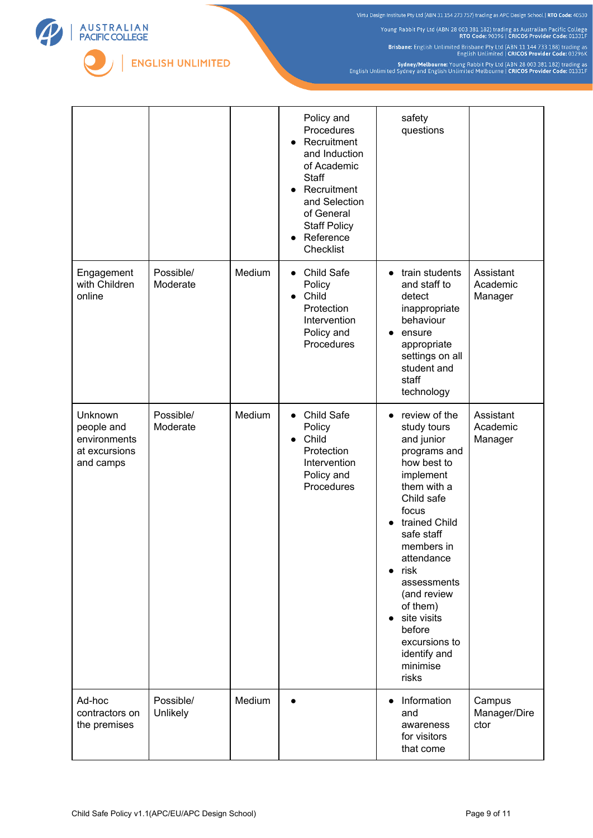Young Rabbit Pty Ltd (ABN 28 003 381 182) trading as Australian Pacific College<br>RTO Code: 90396 | CRICOS Provider Code: 91331F

Brisbane: English Unlimited Brisbane Pty Ltd (ABN 11 144 733 188) trading as<br>English Unlimited | CRICOS Provider Code: 03296K

Sydney/Melbourne: Young Rabbit Pty Ltd (ABN 28 003 381 182) trading as<br>English Unlimited Sydney and English Unlimited Melbourne | CRICOS Provider Code: 01331F

|                                                                     |                       |        | Policy and<br>Procedures<br>Recruitment<br>$\bullet$<br>and Induction<br>of Academic<br><b>Staff</b><br>Recruitment<br>$\bullet$<br>and Selection<br>of General<br><b>Staff Policy</b><br>Reference<br>$\bullet$<br>Checklist | safety<br>questions                                                                                                                                                                                                                                                                                                                   |                                  |
|---------------------------------------------------------------------|-----------------------|--------|-------------------------------------------------------------------------------------------------------------------------------------------------------------------------------------------------------------------------------|---------------------------------------------------------------------------------------------------------------------------------------------------------------------------------------------------------------------------------------------------------------------------------------------------------------------------------------|----------------------------------|
| Engagement<br>with Children<br>online                               | Possible/<br>Moderate | Medium | Child Safe<br>$\bullet$<br>Policy<br>Child<br>$\bullet$<br>Protection<br>Intervention<br>Policy and<br>Procedures                                                                                                             | train students<br>and staff to<br>detect<br>inappropriate<br>behaviour<br>ensure<br>appropriate<br>settings on all<br>student and<br>staff<br>technology                                                                                                                                                                              | Assistant<br>Academic<br>Manager |
| Unknown<br>people and<br>environments<br>at excursions<br>and camps | Possible/<br>Moderate | Medium | Child Safe<br>$\bullet$<br>Policy<br>Child<br>$\bullet$<br>Protection<br>Intervention<br>Policy and<br>Procedures                                                                                                             | review of the<br>study tours<br>and junior<br>programs and<br>how best to<br>implement<br>them with a<br>Child safe<br>focus<br>trained Child<br>safe staff<br>members in<br>attendance<br>risk<br>$\bullet$<br>assessments<br>(and review<br>of them)<br>site visits<br>before<br>excursions to<br>identify and<br>minimise<br>risks | Assistant<br>Academic<br>Manager |
| Ad-hoc<br>contractors on<br>the premises                            | Possible/<br>Unlikely | Medium |                                                                                                                                                                                                                               | Information<br>and<br>awareness<br>for visitors<br>that come                                                                                                                                                                                                                                                                          | Campus<br>Manager/Dire<br>ctor   |

A U S T R A L I A N<br>PACIFIC COLLEGE

ENGLISH UNLIMITED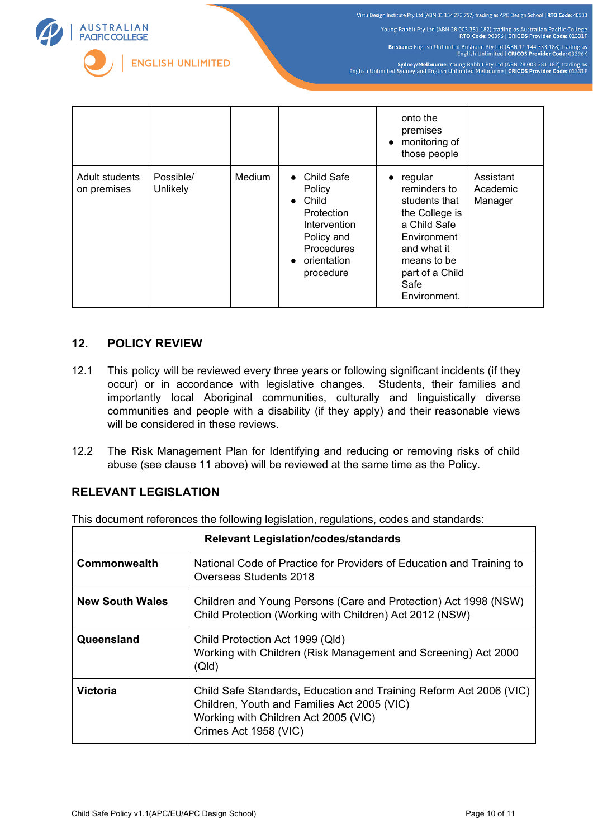

Young Rabbit Pty Ltd (ABN 28 003 381 182) trading as Australian Pacific College<br>RTO Code: 90396 | CRICOS Provider Code: 91331F

Brisbane: English Unlimited Brisbane Pty Ltd (ABN 11 144 733 188) trading as<br>English Unlimited | CRICOS Provider Code: 03296K

Sydney/Melbourne: Young Rabbit Pty Ltd (ABN 28 003 381 182) trading as<br>English Unlimited Sydney and English Unlimited Melbourne | CRICOS Provider Code: 01331F

|                               |                       |               |                                                                                                                                                            | onto the<br>premises<br>monitoring of<br>$\bullet$<br>those people                                                                                                              |                                  |
|-------------------------------|-----------------------|---------------|------------------------------------------------------------------------------------------------------------------------------------------------------------|---------------------------------------------------------------------------------------------------------------------------------------------------------------------------------|----------------------------------|
| Adult students<br>on premises | Possible/<br>Unlikely | <b>Medium</b> | Child Safe<br>$\bullet$<br>Policy<br>Child<br>$\bullet$<br>Protection<br>Intervention<br>Policy and<br>Procedures<br>orientation<br>$\bullet$<br>procedure | regular<br>$\bullet$<br>reminders to<br>students that<br>the College is<br>a Child Safe<br>Environment<br>and what it<br>means to be<br>part of a Child<br>Safe<br>Environment. | Assistant<br>Academic<br>Manager |

## **12. POLICY REVIEW**

- 12.1 This policy will be reviewed every three years or following significant incidents (if they occur) or in accordance with legislative changes. Students, their families and importantly local Aboriginal communities, culturally and linguistically diverse communities and people with a disability (if they apply) and their reasonable views will be considered in these reviews.
- 12.2 The Risk Management Plan for Identifying and reducing or removing risks of child abuse (see clause 11 above) will be reviewed at the same time as the Policy.

## **RELEVANT LEGISLATION**

This document references the following legislation, regulations, codes and standards:

| <b>Relevant Legislation/codes/standards</b> |                                                                                                                                                                                    |  |  |  |
|---------------------------------------------|------------------------------------------------------------------------------------------------------------------------------------------------------------------------------------|--|--|--|
| <b>Commonwealth</b>                         | National Code of Practice for Providers of Education and Training to<br>Overseas Students 2018                                                                                     |  |  |  |
| <b>New South Wales</b>                      | Children and Young Persons (Care and Protection) Act 1998 (NSW)<br>Child Protection (Working with Children) Act 2012 (NSW)                                                         |  |  |  |
| Queensland                                  | Child Protection Act 1999 (Qld)<br>Working with Children (Risk Management and Screening) Act 2000<br>(QId)                                                                         |  |  |  |
| <b>Victoria</b>                             | Child Safe Standards, Education and Training Reform Act 2006 (VIC)<br>Children, Youth and Families Act 2005 (VIC)<br>Working with Children Act 2005 (VIC)<br>Crimes Act 1958 (VIC) |  |  |  |